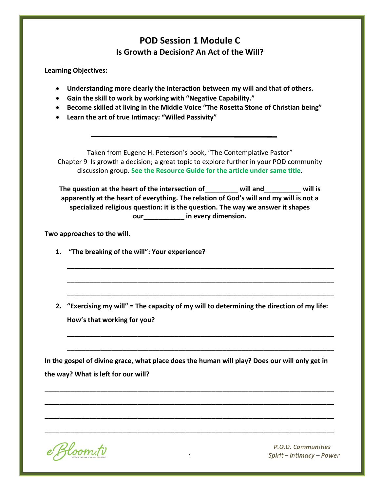# **POD Session 1 Module C Is Growth a Decision? An Act of the Will?**

**Learning Objectives:**

- **Understanding more clearly the interaction between my will and that of others.**
- **Gain the skill to work by working with "Negative Capability."**
- **Become skilled at living in the Middle Voice "The Rosetta Stone of Christian being"**
- **Learn the art of true Intimacy: "Willed Passivity"**

Taken from Eugene H. Peterson's book, "The Contemplative Pastor" Chapter 9 Is growth a decision; a great topic to explore further in your POD community discussion group. **See the Resource Guide for the article under same title**.

**The question at the heart of the intersection of\_\_\_\_\_\_\_\_\_ will and\_\_\_\_\_\_\_\_\_\_ will is apparently at the heart of everything. The relation of God's will and my will is not a specialized religious question: it is the question. The way we answer it shapes our\_\_\_\_\_\_\_\_\_\_\_ in every dimension.**

**Two approaches to the will.**

- **1. "The breaking of the will": Your experience?**
- **2. "Exercising my will" = The capacity of my will to determining the direction of my life: How's that working for you?**

**\_\_\_\_\_\_\_\_\_\_\_\_\_\_\_\_\_\_\_\_\_\_\_\_\_\_\_\_\_\_\_\_\_\_\_\_\_\_\_\_\_\_\_\_\_\_\_\_\_\_\_\_\_\_\_\_\_\_\_\_\_\_\_\_\_\_\_\_\_\_\_\_**

**\_\_\_\_\_\_\_\_\_\_\_\_\_\_\_\_\_\_\_\_\_\_\_\_\_\_\_\_\_\_\_\_\_\_\_\_\_\_\_\_\_\_\_\_\_\_\_\_\_\_\_\_\_\_\_\_\_\_\_\_\_\_\_\_\_\_\_\_\_\_\_\_**

**\_\_\_\_\_\_\_\_\_\_\_\_\_\_\_\_\_\_\_\_\_\_\_\_\_\_\_\_\_\_\_\_\_\_\_\_\_\_\_\_\_\_\_\_\_\_\_\_\_\_\_\_\_\_\_\_\_\_\_\_\_\_\_\_\_\_\_\_\_\_\_\_**

**\_\_\_\_\_\_\_\_\_\_\_\_\_\_\_\_\_\_\_\_\_\_\_\_\_\_\_\_\_\_\_\_\_\_\_\_\_\_\_\_\_\_\_\_\_\_\_\_\_\_\_\_\_\_\_\_\_\_\_\_\_\_\_\_\_\_\_\_\_\_\_\_**

**\_\_\_\_\_\_\_\_\_\_\_\_\_\_\_\_\_\_\_\_\_\_\_\_\_\_\_\_\_\_\_\_\_\_\_\_\_\_\_\_\_\_\_\_\_\_\_\_\_\_\_\_\_\_\_\_\_\_\_\_\_\_\_\_\_\_\_\_\_\_\_\_**

**In the gospel of divine grace, what place does the human will play? Does our will only get in the way? What is left for our will?** 

**\_\_\_\_\_\_\_\_\_\_\_\_\_\_\_\_\_\_\_\_\_\_\_\_\_\_\_\_\_\_\_\_\_\_\_\_\_\_\_\_\_\_\_\_\_\_\_\_\_\_\_\_\_\_\_\_\_\_\_\_\_\_\_\_\_\_\_\_\_\_\_\_\_\_\_\_\_\_**

**\_\_\_\_\_\_\_\_\_\_\_\_\_\_\_\_\_\_\_\_\_\_\_\_\_\_\_\_\_\_\_\_\_\_\_\_\_\_\_\_\_\_\_\_\_\_\_\_\_\_\_\_\_\_\_\_\_\_\_\_\_\_\_\_\_\_\_\_\_\_\_\_\_\_\_\_\_\_**

**\_\_\_\_\_\_\_\_\_\_\_\_\_\_\_\_\_\_\_\_\_\_\_\_\_\_\_\_\_\_\_\_\_\_\_\_\_\_\_\_\_\_\_\_\_\_\_\_\_\_\_\_\_\_\_\_\_\_\_\_\_\_\_\_\_\_\_\_\_\_\_\_\_\_\_\_\_\_**

**\_\_\_\_\_\_\_\_\_\_\_\_\_\_\_\_\_\_\_\_\_\_\_\_\_\_\_\_\_\_\_\_\_\_\_\_\_\_\_\_\_\_\_\_\_\_\_\_\_\_\_\_\_\_\_\_\_\_\_\_\_\_\_\_\_\_\_\_\_\_\_\_\_\_\_\_\_\_**

Bloom.tv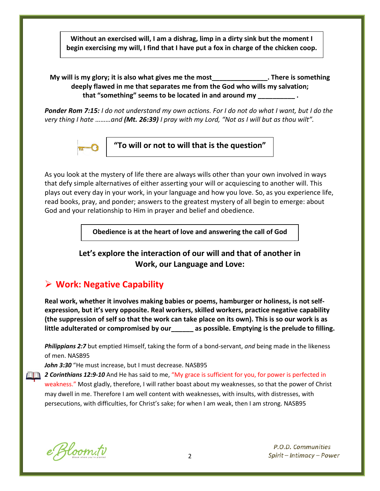**Without an exercised will, I am a dishrag, limp in a dirty sink but the moment I begin exercising my will, I find that I have put a fox in charge of the chicken coop.**

#### **My will is my glory; it is also what gives me the most There is something**  and **now**  $\mathbf{A}$ **deeply flawed in me that separates me from the God who wills my salvation; that "something" seems to be located in and around my \_\_\_\_\_\_\_\_\_\_ .**

*Ponder Rom 7:15: I do not understand my own actions. For I do not do what I want, but I do the very thing I hate ………and (Mt. 26:39) I pray with my Lord, "Not as I will but as thou wilt".*



**"To will or not to will that is the question"**

As you look at the mystery of life there are always wills other than your own involved in ways that defy simple alternatives of either asserting your will or acquiescing to another will. This plays out every day in your work, in your language and how you love. So, as you experience life, read books, pray, and ponder; answers to the greatest mystery of all begin to emerge: about God and your relationship to Him in prayer and belief and obedience.

**Obedience is at the heart of love and answering the call of God**

**Let's explore the interaction of our will and that of another in Work, our Language and Love:**

# **Work: Negative Capability**

**Real work, whether it involves making babies or poems, hamburger or holiness, is not selfexpression, but it's very opposite. Real workers, skilled workers, practice negative capability (the suppression of self so that the work can take place on its own). This is so our work is as little adulterated or compromised by our\_\_\_\_\_\_ as possible. Emptying is the prelude to filling.**

*Philippians 2:7* but emptied Himself, taking the form of a bond-servant, *and* being made in the likeness of men. NASB95

John 3:30 "He must increase, but I must decrease. NASB95

**2 Corinthians 12:9-10** And He has said to me, "My grace is sufficient for you, for power is perfected in weakness." Most gladly, therefore, I will rather boast about my weaknesses, so that the power of Christ may dwell in me. Therefore I am well content with weaknesses, with insults, with distresses, with persecutions, with difficulties, for Christ's sake; for when I am weak, then I am strong. NASB95

e Bloom.tv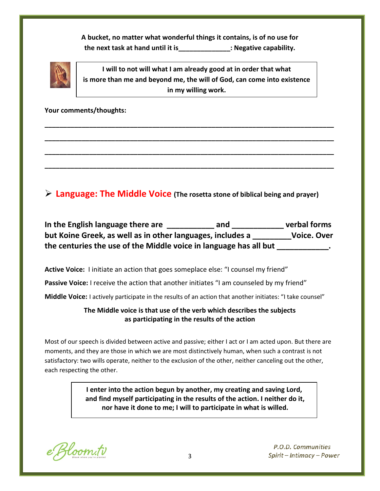**A bucket, no matter what wonderful things it contains, is of no use for the next task at hand until it is\_\_\_\_\_\_\_\_\_\_\_\_\_\_: Negative capability.**



**I will to not will what I am already good at in order that what is more than me and beyond me, the will of God, can come into existence in my willing work.**

**\_\_\_\_\_\_\_\_\_\_\_\_\_\_\_\_\_\_\_\_\_\_\_\_\_\_\_\_\_\_\_\_\_\_\_\_\_\_\_\_\_\_\_\_\_\_\_\_\_\_\_\_\_\_\_\_\_\_\_\_\_\_\_\_\_\_\_\_\_\_\_\_\_\_\_\_\_\_**

**\_\_\_\_\_\_\_\_\_\_\_\_\_\_\_\_\_\_\_\_\_\_\_\_\_\_\_\_\_\_\_\_\_\_\_\_\_\_\_\_\_\_\_\_\_\_\_\_\_\_\_\_\_\_\_\_\_\_\_\_\_\_\_\_\_\_\_\_\_\_\_\_\_\_\_\_\_\_**

**\_\_\_\_\_\_\_\_\_\_\_\_\_\_\_\_\_\_\_\_\_\_\_\_\_\_\_\_\_\_\_\_\_\_\_\_\_\_\_\_\_\_\_\_\_\_\_\_\_\_\_\_\_\_\_\_\_\_\_\_\_\_\_\_\_\_\_\_\_\_\_\_\_\_\_\_\_\_**

**\_\_\_\_\_\_\_\_\_\_\_\_\_\_\_\_\_\_\_\_\_\_\_\_\_\_\_\_\_\_\_\_\_\_\_\_\_\_\_\_\_\_\_\_\_\_\_\_\_\_\_\_\_\_\_\_\_\_\_\_\_\_\_\_\_\_\_\_\_\_\_\_\_\_\_\_\_\_**

**Your comments/thoughts:** 

**Language: The Middle Voice (The rosetta stone of biblical being and prayer)**

**In the English language there are \_\_\_\_\_\_\_\_\_\_\_ and \_\_\_\_\_\_\_\_\_\_\_\_ verbal forms but Koine Greek, as well as in other languages, includes a \_\_\_\_\_\_\_\_\_Voice. Over the centuries the use of the Middle voice in language has all but \_\_\_\_\_\_\_\_\_\_\_\_.**

**Active Voice:** I initiate an action that goes someplace else: "I counsel my friend"

Passive Voice: I receive the action that another initiates "I am counseled by my friend"

**Middle Voice:** I actively participate in the results of an action that another initiates: "I take counsel"

### **The Middle voice is that use of the verb which describes the subjects as participating in the results of the action**

Most of our speech is divided between active and passive; either I act or I am acted upon. But there are moments, and they are those in which we are most distinctively human, when such a contrast is not satisfactory: two wills operate, neither to the exclusion of the other, neither canceling out the other, each respecting the other.

> **I enter into the action begun by another, my creating and saving Lord, and find myself participating in the results of the action. I neither do it, nor have it done to me; I will to participate in what is willed.**

e Bloom.tv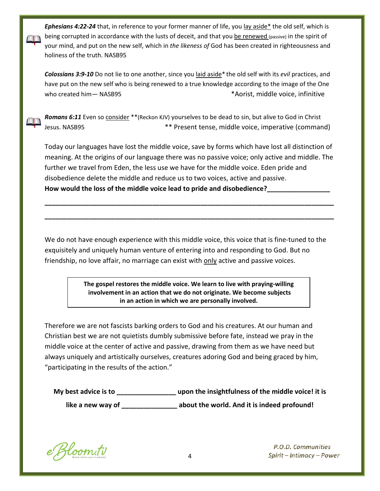*Ephesians 4:22-24* that, in reference to your former manner of life, you lay aside\* the old self, which is being corrupted in accordance with the lusts of deceit, and that you be renewed (passive) in the spirit of your mind, and put on the new self, which in *the likeness of* God has been created in righteousness and holiness of the truth. NASB95

*Colossians 3:9-10* Do not lie to one another, since you laid aside\* the old self with its *evil* practices, and have put on the new self who is being renewed to a true knowledge according to the image of the One who created him— NASB95 \* Aorist, middle voice, infinitive

Romans 6:11 Even so consider \*\* (Reckon KJV) yourselves to be dead to sin, but alive to God in Christ Jesus. NASB95 \*\* Present tense, middle voice, imperative (command)

Today our languages have lost the middle voice, save by forms which have lost all distinction of meaning. At the origins of our language there was no passive voice; only active and middle. The further we travel from Eden, the less use we have for the middle voice. Eden pride and disobedience delete the middle and reduce us to two voices, active and passive. **How would the loss of the middle voice lead to pride and disobedience?\_\_\_\_\_\_\_\_\_\_\_\_\_\_\_\_\_**

**\_\_\_\_\_\_\_\_\_\_\_\_\_\_\_\_\_\_\_\_\_\_\_\_\_\_\_\_\_\_\_\_\_\_\_\_\_\_\_\_\_\_\_\_\_\_\_\_\_\_\_\_\_\_\_\_\_\_\_\_\_\_\_\_\_\_\_\_\_\_\_\_\_\_\_\_\_\_**

**\_\_\_\_\_\_\_\_\_\_\_\_\_\_\_\_\_\_\_\_\_\_\_\_\_\_\_\_\_\_\_\_\_\_\_\_\_\_\_\_\_\_\_\_\_\_\_\_\_\_\_\_\_\_\_\_\_\_\_\_\_\_\_\_\_\_\_\_\_\_\_\_\_\_\_\_\_\_**

We do not have enough experience with this middle voice, this voice that is fine-tuned to the exquisitely and uniquely human venture of entering into and responding to God. But no friendship, no love affair, no marriage can exist with only active and passive voices.

> **The gospel restores the middle voice. We learn to live with praying-willing involvement in an action that we do not originate. We become subjects in an action in which we are personally involved.**

Therefore we are not fascists barking orders to God and his creatures. At our human and Christian best we are not quietists dumbly submissive before fate, instead we pray in the middle voice at the center of active and passive, drawing from them as we have need but always uniquely and artistically ourselves, creatures adoring God and being graced by him, "participating in the results of the action."

| My best advice is to | upon the insightfulness of the middle voice! it is |
|----------------------|----------------------------------------------------|
| like a new way of    | about the world. And it is indeed profound!        |

e Bloom.tv

 $\Box$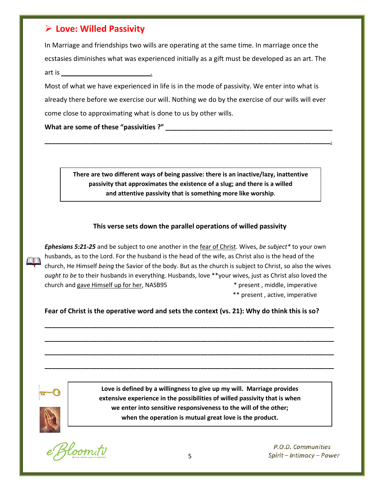# **Love: Willed Passivity**

In Marriage and friendships two wills are operating at the same time. In marriage once the ecstasies diminishes what was experienced initially as a gift must be developed as an art. The art is \_\_\_\_\_\_\_\_\_\_\_\_\_\_\_\_\_\_\_\_\_\_\_\_.

Most of what we have experienced in life is in the mode of passivity. We enter into what is already there before we exercise our will. Nothing we do by the exercise of our wills will ever come close to approximating what is done to us by other wills.

**What are some of these "passivities ?" \_\_\_\_\_\_\_\_\_\_\_\_\_\_\_\_\_\_\_\_\_\_\_\_\_\_\_\_\_\_\_\_\_\_\_\_\_\_\_\_\_\_\_\_\_**

**There are two different ways of being passive: there is an inactive/lazy, inattentive passivity that approximates the existence of a slug; and there is a willed and attentive passivity that is something more like worship**.

**\_\_\_\_\_\_\_\_\_\_\_\_\_\_\_\_\_\_\_\_\_\_\_\_\_\_\_\_\_\_\_\_\_\_\_\_\_\_\_\_\_\_\_\_\_\_\_\_\_\_\_\_\_\_\_\_\_\_\_\_\_\_\_\_\_\_\_\_\_\_\_\_\_\_\_\_\_**.

#### **This verse sets down the parallel operations of willed passivity**

*Ephesians 5:21-25* and be subject to one another in the fear of Christ. Wives, *be subject\** to your own husbands, as to the Lord. For the husband is the head of the wife, as Christ also is the head of the church, He Himself *being* the Savior of the body. But as the church is subject to Christ, so also the wives *ought to be* to their husbands in everything. Husbands, love \*\*your wives, just as Christ also loved the church and gave Himself up for her, NASB95 \* present , middle, imperative

\*\* present , active, imperative

**Fear of Christ is the operative word and sets the context (vs. 21): Why do think this is so?**

**\_\_\_\_\_\_\_\_\_\_\_\_\_\_\_\_\_\_\_\_\_\_\_\_\_\_\_\_\_\_\_\_\_\_\_\_\_\_\_\_\_\_\_\_\_\_\_\_\_\_\_\_\_\_\_\_\_\_\_\_\_\_\_\_\_\_\_\_\_\_\_\_\_\_\_\_\_\_**

**\_\_\_\_\_\_\_\_\_\_\_\_\_\_\_\_\_\_\_\_\_\_\_\_\_\_\_\_\_\_\_\_\_\_\_\_\_\_\_\_\_\_\_\_\_\_\_\_\_\_\_\_\_\_\_\_\_\_\_\_\_\_\_\_\_\_\_\_\_\_\_\_\_\_\_\_\_\_**

**\_\_\_\_\_\_\_\_\_\_\_\_\_\_\_\_\_\_\_\_\_\_\_\_\_\_\_\_\_\_\_\_\_\_\_\_\_\_\_\_\_\_\_\_\_\_\_\_\_\_\_\_\_\_\_\_\_\_\_\_\_\_\_\_\_\_\_\_\_\_\_\_\_\_\_\_\_\_**

**\_\_\_\_\_\_\_\_\_\_\_\_\_\_\_\_\_\_\_\_\_\_\_\_\_\_\_\_\_\_\_\_\_\_\_\_\_\_\_\_\_\_\_\_\_\_\_\_\_\_\_\_\_\_\_\_\_\_\_\_\_\_\_\_\_\_\_\_\_\_\_\_\_\_\_\_\_\_**



**Love is defined by a willingness to give up my will. Marriage provides extensive experience in the possibilities of willed passivity that is when we enter into sensitive responsiveness to the will of the other; when the operation is mutual great love is the product.**

Bloom.tv